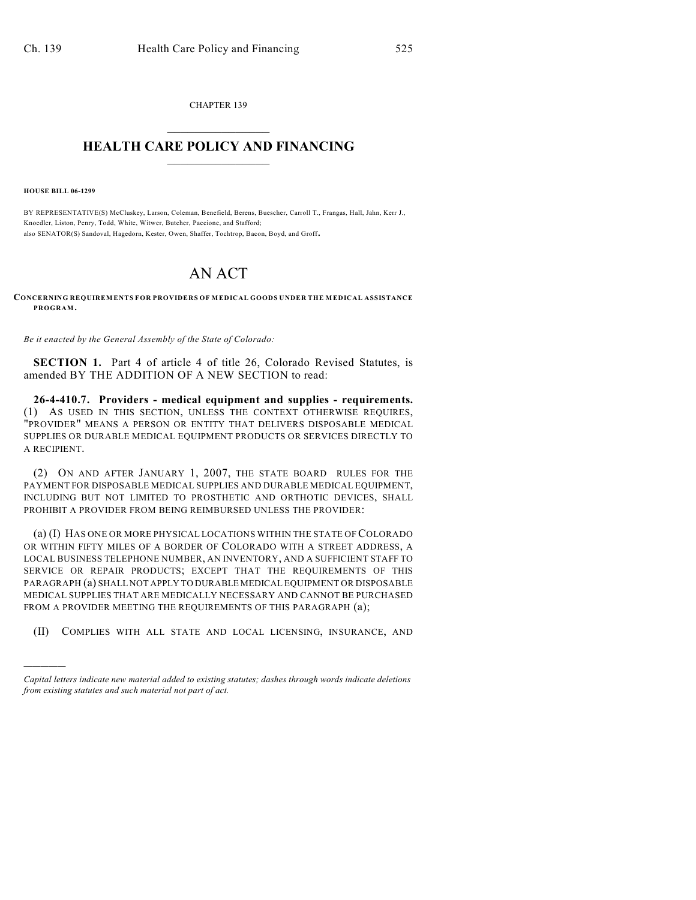CHAPTER 139  $\overline{\phantom{a}}$  . The set of the set of the set of the set of the set of the set of the set of the set of the set of the set of the set of the set of the set of the set of the set of the set of the set of the set of the set o

## **HEALTH CARE POLICY AND FINANCING**  $\_$   $\_$   $\_$   $\_$   $\_$   $\_$   $\_$   $\_$

**HOUSE BILL 06-1299**

)))))

BY REPRESENTATIVE(S) McCluskey, Larson, Coleman, Benefield, Berens, Buescher, Carroll T., Frangas, Hall, Jahn, Kerr J., Knoedler, Liston, Penry, Todd, White, Witwer, Butcher, Paccione, and Stafford; also SENATOR(S) Sandoval, Hagedorn, Kester, Owen, Shaffer, Tochtrop, Bacon, Boyd, and Groff.

## AN ACT

**CONCERNING REQUIREMENTS FOR PROVIDERS OF MEDICAL GOODS UNDER THE MEDICAL ASSISTANCE PROGRAM.**

*Be it enacted by the General Assembly of the State of Colorado:*

**SECTION 1.** Part 4 of article 4 of title 26, Colorado Revised Statutes, is amended BY THE ADDITION OF A NEW SECTION to read:

**26-4-410.7. Providers - medical equipment and supplies - requirements.** (1) AS USED IN THIS SECTION, UNLESS THE CONTEXT OTHERWISE REQUIRES, "PROVIDER" MEANS A PERSON OR ENTITY THAT DELIVERS DISPOSABLE MEDICAL SUPPLIES OR DURABLE MEDICAL EQUIPMENT PRODUCTS OR SERVICES DIRECTLY TO A RECIPIENT.

(2) ON AND AFTER JANUARY 1, 2007, THE STATE BOARD RULES FOR THE PAYMENT FOR DISPOSABLE MEDICAL SUPPLIES AND DURABLE MEDICAL EQUIPMENT, INCLUDING BUT NOT LIMITED TO PROSTHETIC AND ORTHOTIC DEVICES, SHALL PROHIBIT A PROVIDER FROM BEING REIMBURSED UNLESS THE PROVIDER:

(a) (I) HAS ONE OR MORE PHYSICAL LOCATIONS WITHIN THE STATE OF COLORADO OR WITHIN FIFTY MILES OF A BORDER OF COLORADO WITH A STREET ADDRESS, A LOCAL BUSINESS TELEPHONE NUMBER, AN INVENTORY, AND A SUFFICIENT STAFF TO SERVICE OR REPAIR PRODUCTS; EXCEPT THAT THE REQUIREMENTS OF THIS PARAGRAPH (a) SHALL NOT APPLY TO DURABLE MEDICAL EQUIPMENT OR DISPOSABLE MEDICAL SUPPLIES THAT ARE MEDICALLY NECESSARY AND CANNOT BE PURCHASED FROM A PROVIDER MEETING THE REQUIREMENTS OF THIS PARAGRAPH  $(a)$ ;

(II) COMPLIES WITH ALL STATE AND LOCAL LICENSING, INSURANCE, AND

*Capital letters indicate new material added to existing statutes; dashes through words indicate deletions from existing statutes and such material not part of act.*